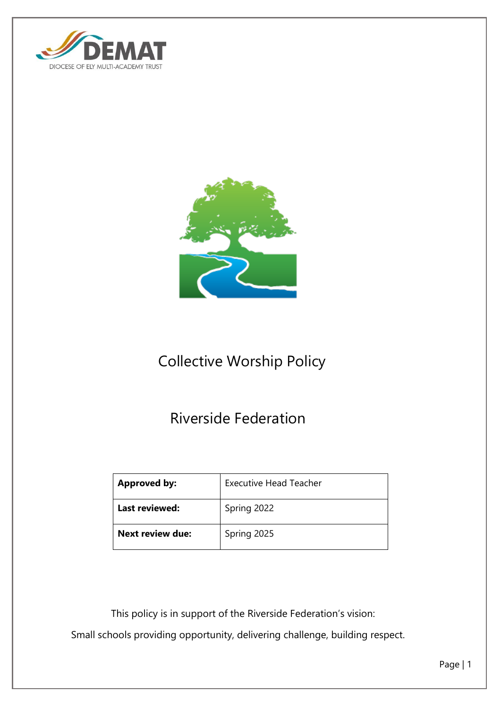



# Collective Worship Policy

## Riverside Federation

| <b>Approved by:</b>     | <b>Executive Head Teacher</b> |
|-------------------------|-------------------------------|
| Last reviewed:          | Spring 2022                   |
| <b>Next review due:</b> | Spring 2025                   |

 This policy is in support of the Riverside Federation's vision: Small schools providing opportunity, delivering challenge, building respect.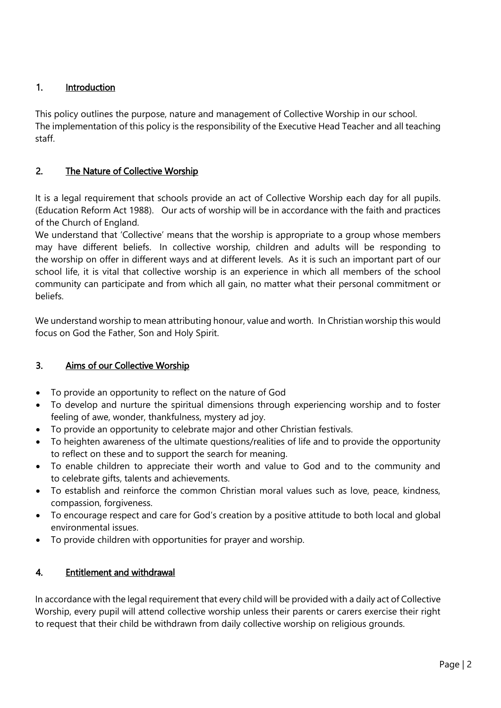## 1. Introduction

This policy outlines the purpose, nature and management of Collective Worship in our school. The implementation of this policy is the responsibility of the Executive Head Teacher and all teaching staff.

## 2. The Nature of Collective Worship

It is a legal requirement that schools provide an act of Collective Worship each day for all pupils. (Education Reform Act 1988). Our acts of worship will be in accordance with the faith and practices of the Church of England.

We understand that 'Collective' means that the worship is appropriate to a group whose members may have different beliefs. In collective worship, children and adults will be responding to the worship on offer in different ways and at different levels. As it is such an important part of our school life, it is vital that collective worship is an experience in which all members of the school community can participate and from which all gain, no matter what their personal commitment or beliefs.

We understand worship to mean attributing honour, value and worth. In Christian worship this would focus on God the Father, Son and Holy Spirit.

## 3. Aims of our Collective Worship

- To provide an opportunity to reflect on the nature of God
- To develop and nurture the spiritual dimensions through experiencing worship and to foster feeling of awe, wonder, thankfulness, mystery ad joy.
- To provide an opportunity to celebrate major and other Christian festivals.
- To heighten awareness of the ultimate questions/realities of life and to provide the opportunity to reflect on these and to support the search for meaning.
- To enable children to appreciate their worth and value to God and to the community and to celebrate gifts, talents and achievements.
- To establish and reinforce the common Christian moral values such as love, peace, kindness, compassion, forgiveness.
- To encourage respect and care for God's creation by a positive attitude to both local and global environmental issues.
- To provide children with opportunities for prayer and worship.

## 4. Entitlement and withdrawal

In accordance with the legal requirement that every child will be provided with a daily act of Collective Worship, every pupil will attend collective worship unless their parents or carers exercise their right to request that their child be withdrawn from daily collective worship on religious grounds.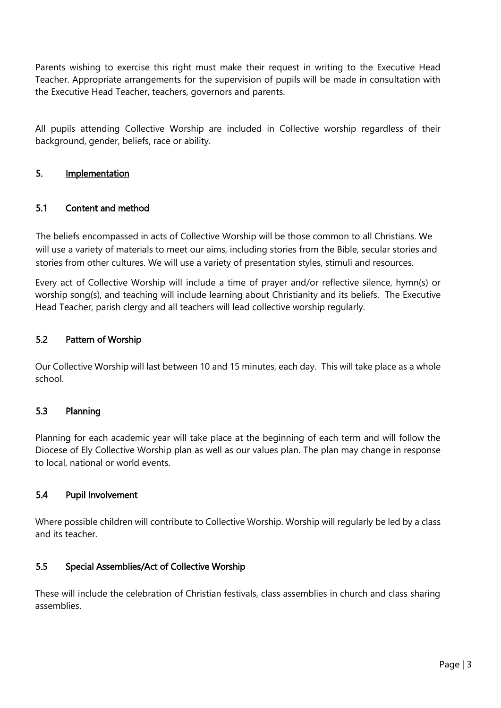Parents wishing to exercise this right must make their request in writing to the Executive Head Teacher. Appropriate arrangements for the supervision of pupils will be made in consultation with the Executive Head Teacher, teachers, governors and parents.

All pupils attending Collective Worship are included in Collective worship regardless of their background, gender, beliefs, race or ability.

#### 5. Implementation

#### 5.1 Content and method

The beliefs encompassed in acts of Collective Worship will be those common to all Christians. We will use a variety of materials to meet our aims, including stories from the Bible, secular stories and stories from other cultures. We will use a variety of presentation styles, stimuli and resources.

Every act of Collective Worship will include a time of prayer and/or reflective silence, hymn(s) or worship song(s), and teaching will include learning about Christianity and its beliefs. The Executive Head Teacher, parish clergy and all teachers will lead collective worship regularly.

#### 5.2 Pattern of Worship

Our Collective Worship will last between 10 and 15 minutes, each day. This will take place as a whole school.

#### 5.3 Planning

Planning for each academic year will take place at the beginning of each term and will follow the Diocese of Ely Collective Worship plan as well as our values plan. The plan may change in response to local, national or world events.

#### 5.4 Pupil Involvement

Where possible children will contribute to Collective Worship. Worship will regularly be led by a class and its teacher.

#### 5.5 Special Assemblies/Act of Collective Worship

These will include the celebration of Christian festivals, class assemblies in church and class sharing assemblies.